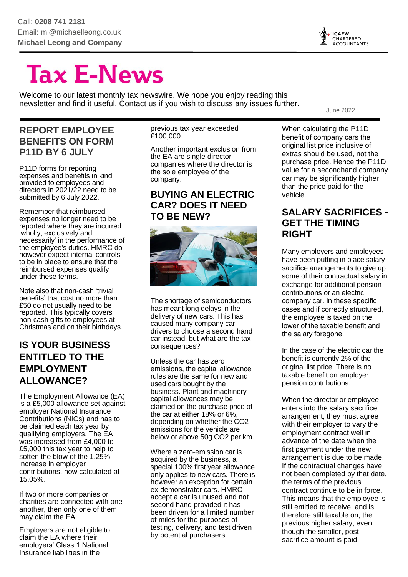

# **Tax E-News**

Welcome to our latest monthly tax newswire. We hope you enjoy reading this newsletter and find it useful. Contact us if you wish to discuss any issues further.

#### **REPORT EMPLOYEE BENEFITS ON FORM P11D BY 6 JULY**

P11D forms for reporting expenses and benefits in kind provided to employees and directors in 2021/22 need to be submitted by 6 July 2022.

Remember that reimbursed expenses no longer need to be reported where they are incurred 'wholly, exclusively and necessarily' in the performance of the employee's duties. HMRC do however expect internal controls to be in place to ensure that the reimbursed expenses qualify under these terms.

Note also that non-cash 'trivial benefits' that cost no more than £50 do not usually need to be reported. This typically covers non-cash gifts to employees at Christmas and on their birthdays.

#### **IS YOUR BUSINESS ENTITLED TO THE EMPLOYMENT ALLOWANCE?**

The Employment Allowance (EA) is a £5,000 allowance set against employer National Insurance Contributions (NICs) and has to be claimed each tax year by qualifying employers. The EA was increased from £4,000 to £5,000 this tax year to help to soften the blow of the 1.25% increase in employer contributions, now calculated at 15.05%.

If two or more companies or charities are connected with one another, then only one of them may claim the EA.

Employers are not eligible to claim the EA where their employers' Class 1 National Insurance liabilities in the

previous tax year exceeded £100,000.

Another important exclusion from the EA are single director companies where the director is the sole employee of the company.

#### **BUYING AN ELECTRIC CAR? DOES IT NEED TO BE NEW?**



The shortage of semiconductors has meant long delays in the delivery of new cars. This has caused many company car drivers to choose a second hand car instead, but what are the tax consequences?

Unless the car has zero emissions, the capital allowance rules are the same for new and used cars bought by the business. Plant and machinery capital allowances may be claimed on the purchase price of the car at either 18% or 6%, depending on whether the CO2 emissions for the vehicle are below or above 50g CO2 per km.

Where a zero-emission car is acquired by the business, a special 100% first year allowance only applies to new cars. There is however an exception for certain ex-demonstrator cars. HMRC accept a car is unused and not second hand provided it has been driven for a limited number of miles for the purposes of testing, delivery, and test driven by potential purchasers.

When calculating the P11D benefit of company cars the original list price inclusive of extras should be used, not the purchase price. Hence the P11D value for a secondhand company car may be significantly higher than the price paid for the vehicle.

June 2022

#### **SALARY SACRIFICES - GET THE TIMING RIGHT**

Many employers and employees have been putting in place salary sacrifice arrangements to give up some of their contractual salary in exchange for additional pension contributions or an electric company car. In these specific cases and if correctly structured, the employee is taxed on the lower of the taxable benefit and the salary foregone.

In the case of the electric car the benefit is currently 2% of the original list price. There is no taxable benefit on employer pension contributions.

When the director or employee enters into the salary sacrifice arrangement, they must agree with their employer to vary the employment contract well in advance of the date when the first payment under the new arrangement is due to be made. If the contractual changes have not been completed by that date, the terms of the previous contract continue to be in force. This means that the employee is still entitled to receive, and is therefore still taxable on, the previous higher salary, even though the smaller, postsacrifice amount is paid.